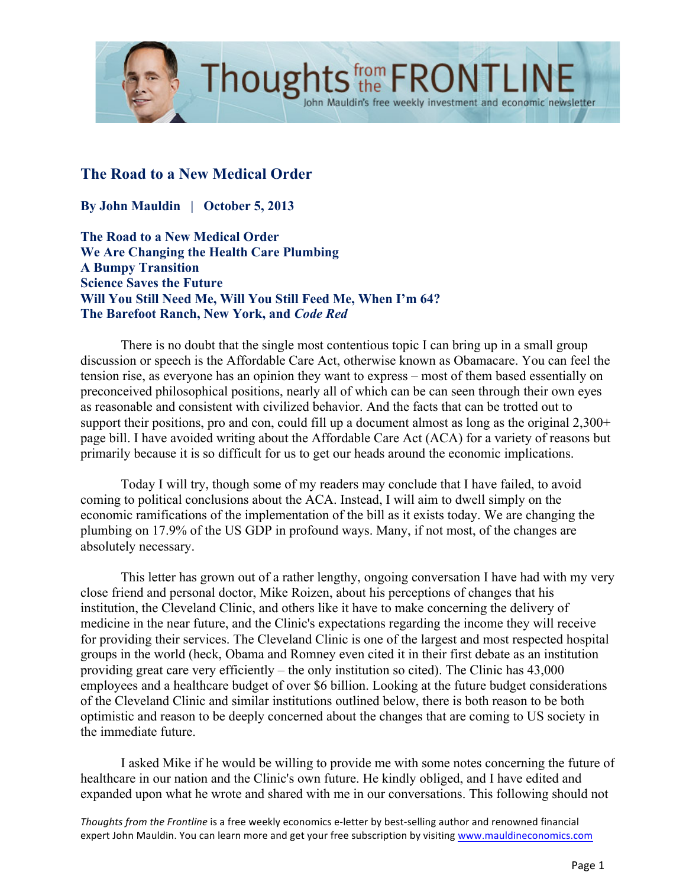

# **The Road to a New Medical Order**

**By John Mauldin | October 5, 2013**

**The Road to a New Medical Order We Are Changing the Health Care Plumbing A Bumpy Transition Science Saves the Future Will You Still Need Me, Will You Still Feed Me, When I'm 64? The Barefoot Ranch, New York, and** *Code Red*

There is no doubt that the single most contentious topic I can bring up in a small group discussion or speech is the Affordable Care Act, otherwise known as Obamacare. You can feel the tension rise, as everyone has an opinion they want to express – most of them based essentially on preconceived philosophical positions, nearly all of which can be can seen through their own eyes as reasonable and consistent with civilized behavior. And the facts that can be trotted out to support their positions, pro and con, could fill up a document almost as long as the original 2,300+ page bill. I have avoided writing about the Affordable Care Act (ACA) for a variety of reasons but primarily because it is so difficult for us to get our heads around the economic implications.

Today I will try, though some of my readers may conclude that I have failed, to avoid coming to political conclusions about the ACA. Instead, I will aim to dwell simply on the economic ramifications of the implementation of the bill as it exists today. We are changing the plumbing on 17.9% of the US GDP in profound ways. Many, if not most, of the changes are absolutely necessary.

This letter has grown out of a rather lengthy, ongoing conversation I have had with my very close friend and personal doctor, Mike Roizen, about his perceptions of changes that his institution, the Cleveland Clinic, and others like it have to make concerning the delivery of medicine in the near future, and the Clinic's expectations regarding the income they will receive for providing their services. The Cleveland Clinic is one of the largest and most respected hospital groups in the world (heck, Obama and Romney even cited it in their first debate as an institution providing great care very efficiently – the only institution so cited). The Clinic has 43,000 employees and a healthcare budget of over \$6 billion. Looking at the future budget considerations of the Cleveland Clinic and similar institutions outlined below, there is both reason to be both optimistic and reason to be deeply concerned about the changes that are coming to US society in the immediate future.

I asked Mike if he would be willing to provide me with some notes concerning the future of healthcare in our nation and the Clinic's own future. He kindly obliged, and I have edited and expanded upon what he wrote and shared with me in our conversations. This following should not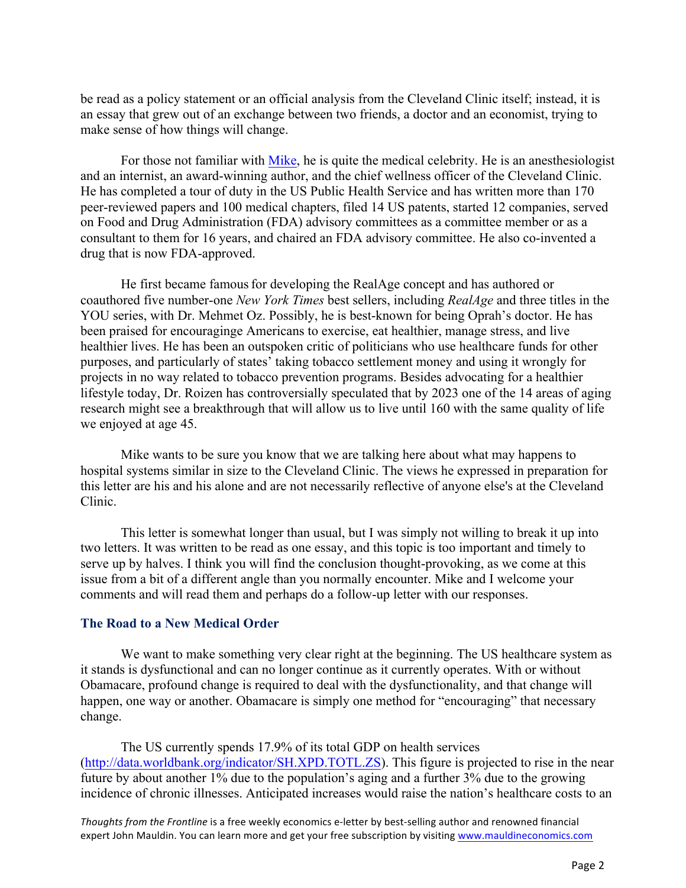be read as a policy statement or an official analysis from the Cleveland Clinic itself; instead, it is an essay that grew out of an exchange between two friends, a doctor and an economist, trying to make sense of how things will change.

For those not familiar with [Mike,](http://en.wikipedia.org/wiki/Michael_Roizen) he is quite the medical celebrity. He is an anesthesiologist and an internist, an award-winning author, and the chief wellness officer of the Cleveland Clinic. He has completed a tour of duty in the US Public Health Service and has written more than 170 peer-reviewed papers and 100 medical chapters, filed 14 US patents, started 12 companies, served on Food and Drug Administration (FDA) advisory committees as a committee member or as a consultant to them for 16 years, and chaired an FDA advisory committee. He also co-invented a drug that is now FDA-approved.

He first became famousfor developing the RealAge concept and has authored or coauthored five number-one *New York Times* best sellers, including *RealAge* and three titles in the YOU series, with Dr. Mehmet Oz. Possibly, he is best-known for being Oprah's doctor. He has been praised for encouraginge Americans to exercise, eat healthier, manage stress, and live healthier lives. He has been an outspoken critic of politicians who use healthcare funds for other purposes, and particularly of states' taking tobacco settlement money and using it wrongly for projects in no way related to tobacco prevention programs. Besides advocating for a healthier lifestyle today, Dr. Roizen has controversially speculated that by 2023 one of the 14 areas of aging research might see a breakthrough that will allow us to live until 160 with the same quality of life we enjoyed at age 45.

Mike wants to be sure you know that we are talking here about what may happens to hospital systems similar in size to the Cleveland Clinic. The views he expressed in preparation for this letter are his and his alone and are not necessarily reflective of anyone else's at the Cleveland Clinic.

This letter is somewhat longer than usual, but I was simply not willing to break it up into two letters. It was written to be read as one essay, and this topic is too important and timely to serve up by halves. I think you will find the conclusion thought-provoking, as we come at this issue from a bit of a different angle than you normally encounter. Mike and I welcome your comments and will read them and perhaps do a follow-up letter with our responses.

## **The Road to a New Medical Order**

We want to make something very clear right at the beginning. The US healthcare system as it stands is dysfunctional and can no longer continue as it currently operates. With or without Obamacare, profound change is required to deal with the dysfunctionality, and that change will happen, one way or another. Obamacare is simply one method for "encouraging" that necessary change.

The US currently spends 17.9% of its total GDP on health services [\(http://data.worldbank.org/indicator/SH.XPD.TOTL.ZS\)](http://data.worldbank.org/indicator/SH.XPD.TOTL.ZS). This figure is projected to rise in the near future by about another  $1\%$  due to the population's aging and a further  $3\%$  due to the growing incidence of chronic illnesses. Anticipated increases would raise the nation's healthcare costs to an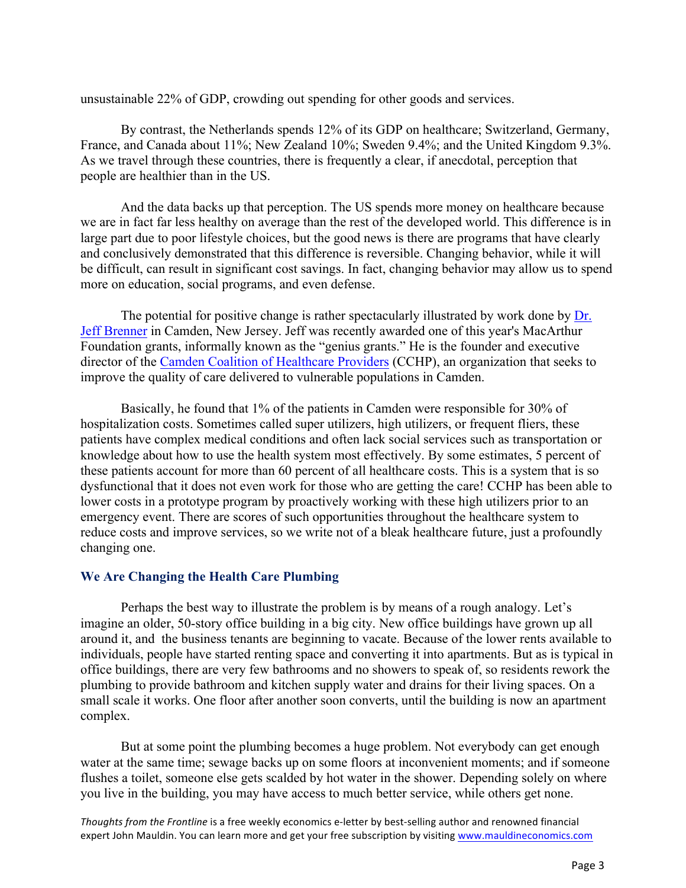unsustainable 22% of GDP, crowding out spending for other goods and services.

By contrast, the Netherlands spends 12% of its GDP on healthcare; Switzerland, Germany, France, and Canada about 11%; New Zealand 10%; Sweden 9.4%; and the United Kingdom 9.3%. As we travel through these countries, there is frequently a clear, if anecdotal, perception that people are healthier than in the US.

And the data backs up that perception. The US spends more money on healthcare because we are in fact far less healthy on average than the rest of the developed world. This difference is in large part due to poor lifestyle choices, but the good news is there are programs that have clearly and conclusively demonstrated that this difference is reversible. Changing behavior, while it will be difficult, can result in significant cost savings. In fact, changing behavior may allow us to spend more on education, social programs, and even defense.

The potential for positive change is rather spectacularly illustrated by work done by Dr. [Jeff Brenner](http://www.macfound.org/fellows/886/) in Camden, New Jersey. Jeff was recently awarded one of this year's MacArthur Foundation grants, informally known as the "genius grants." He is the founder and executive director of the [Camden Coalition of Healthcare Providers](http://www.camdenhealth.org/) (CCHP), an organization that seeks to improve the quality of care delivered to vulnerable populations in Camden.

Basically, he found that 1% of the patients in Camden were responsible for 30% of hospitalization costs. Sometimes called super utilizers, high utilizers, or frequent fliers, these patients have complex medical conditions and often lack social services such as transportation or knowledge about how to use the health system most effectively. By some estimates, 5 percent of these patients account for more than 60 percent of all healthcare costs. This is a system that is so dysfunctional that it does not even work for those who are getting the care! CCHP has been able to lower costs in a prototype program by proactively working with these high utilizers prior to an emergency event. There are scores of such opportunities throughout the healthcare system to reduce costs and improve services, so we write not of a bleak healthcare future, just a profoundly changing one.

### **We Are Changing the Health Care Plumbing**

Perhaps the best way to illustrate the problem is by means of a rough analogy. Let's imagine an older, 50-story office building in a big city. New office buildings have grown up all around it, and the business tenants are beginning to vacate. Because of the lower rents available to individuals, people have started renting space and converting it into apartments. But as is typical in office buildings, there are very few bathrooms and no showers to speak of, so residents rework the plumbing to provide bathroom and kitchen supply water and drains for their living spaces. On a small scale it works. One floor after another soon converts, until the building is now an apartment complex.

But at some point the plumbing becomes a huge problem. Not everybody can get enough water at the same time; sewage backs up on some floors at inconvenient moments; and if someone flushes a toilet, someone else gets scalded by hot water in the shower. Depending solely on where you live in the building, you may have access to much better service, while others get none.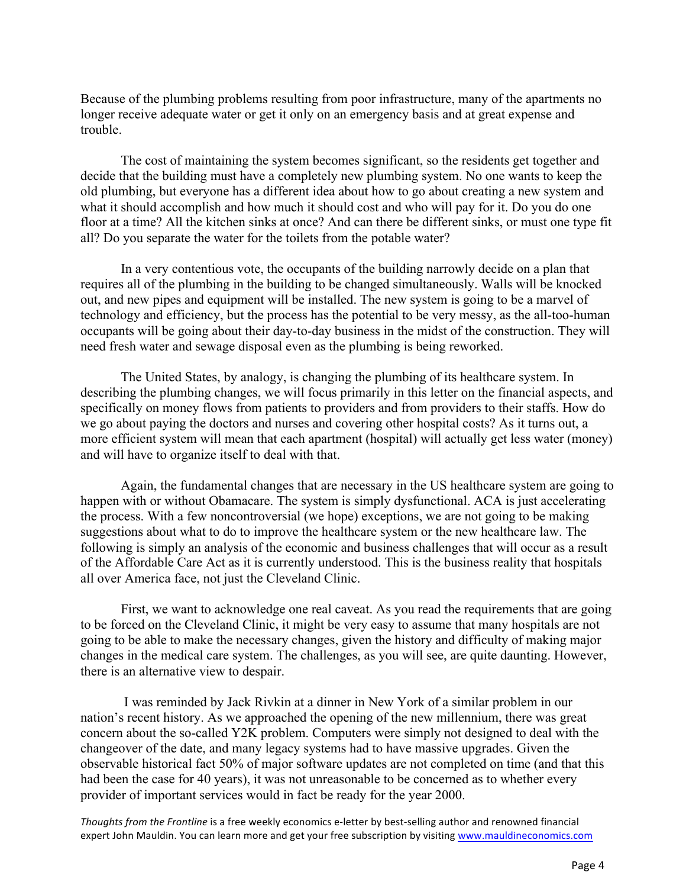Because of the plumbing problems resulting from poor infrastructure, many of the apartments no longer receive adequate water or get it only on an emergency basis and at great expense and trouble.

The cost of maintaining the system becomes significant, so the residents get together and decide that the building must have a completely new plumbing system. No one wants to keep the old plumbing, but everyone has a different idea about how to go about creating a new system and what it should accomplish and how much it should cost and who will pay for it. Do you do one floor at a time? All the kitchen sinks at once? And can there be different sinks, or must one type fit all? Do you separate the water for the toilets from the potable water?

In a very contentious vote, the occupants of the building narrowly decide on a plan that requires all of the plumbing in the building to be changed simultaneously. Walls will be knocked out, and new pipes and equipment will be installed. The new system is going to be a marvel of technology and efficiency, but the process has the potential to be very messy, as the all-too-human occupants will be going about their day-to-day business in the midst of the construction. They will need fresh water and sewage disposal even as the plumbing is being reworked.

The United States, by analogy, is changing the plumbing of its healthcare system. In describing the plumbing changes, we will focus primarily in this letter on the financial aspects, and specifically on money flows from patients to providers and from providers to their staffs. How do we go about paying the doctors and nurses and covering other hospital costs? As it turns out, a more efficient system will mean that each apartment (hospital) will actually get less water (money) and will have to organize itself to deal with that.

Again, the fundamental changes that are necessary in the US healthcare system are going to happen with or without Obamacare. The system is simply dysfunctional. ACA is just accelerating the process. With a few noncontroversial (we hope) exceptions, we are not going to be making suggestions about what to do to improve the healthcare system or the new healthcare law. The following is simply an analysis of the economic and business challenges that will occur as a result of the Affordable Care Act as it is currently understood. This is the business reality that hospitals all over America face, not just the Cleveland Clinic.

First, we want to acknowledge one real caveat. As you read the requirements that are going to be forced on the Cleveland Clinic, it might be very easy to assume that many hospitals are not going to be able to make the necessary changes, given the history and difficulty of making major changes in the medical care system. The challenges, as you will see, are quite daunting. However, there is an alternative view to despair.

I was reminded by Jack Rivkin at a dinner in New York of a similar problem in our nation's recent history. As we approached the opening of the new millennium, there was great concern about the so-called Y2K problem. Computers were simply not designed to deal with the changeover of the date, and many legacy systems had to have massive upgrades. Given the observable historical fact 50% of major software updates are not completed on time (and that this had been the case for 40 years), it was not unreasonable to be concerned as to whether every provider of important services would in fact be ready for the year 2000.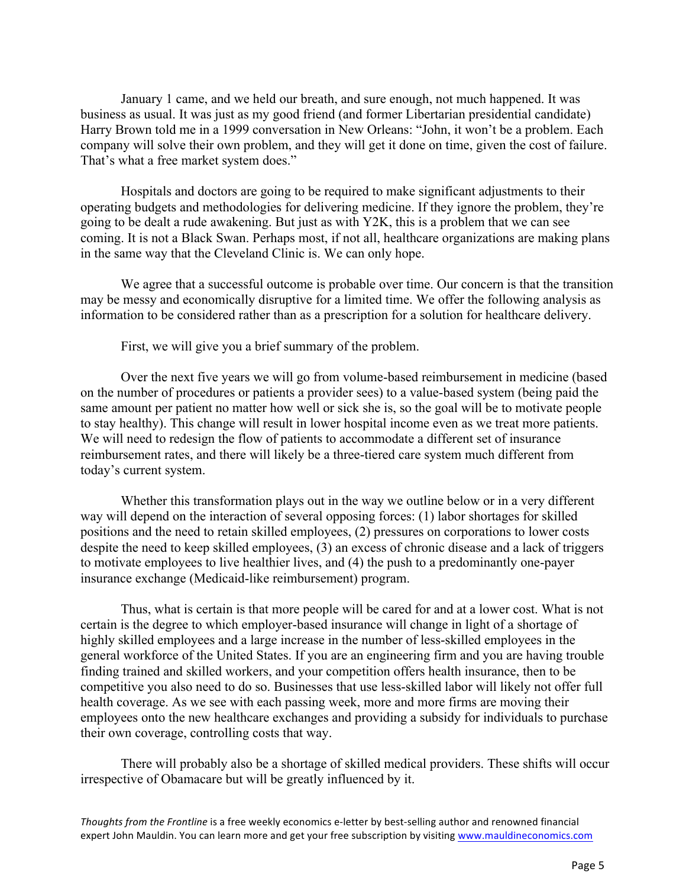January 1 came, and we held our breath, and sure enough, not much happened. It was business as usual. It was just as my good friend (and former Libertarian presidential candidate) Harry Brown told me in a 1999 conversation in New Orleans: "John, it won't be a problem. Each company will solve their own problem, and they will get it done on time, given the cost of failure. That's what a free market system does."

Hospitals and doctors are going to be required to make significant adjustments to their operating budgets and methodologies for delivering medicine. If they ignore the problem, they're going to be dealt a rude awakening. But just as with Y2K, this is a problem that we can see coming. It is not a Black Swan. Perhaps most, if not all, healthcare organizations are making plans in the same way that the Cleveland Clinic is. We can only hope.

We agree that a successful outcome is probable over time. Our concern is that the transition may be messy and economically disruptive for a limited time. We offer the following analysis as information to be considered rather than as a prescription for a solution for healthcare delivery.

First, we will give you a brief summary of the problem.

Over the next five years we will go from volume-based reimbursement in medicine (based on the number of procedures or patients a provider sees) to a value-based system (being paid the same amount per patient no matter how well or sick she is, so the goal will be to motivate people to stay healthy). This change will result in lower hospital income even as we treat more patients. We will need to redesign the flow of patients to accommodate a different set of insurance reimbursement rates, and there will likely be a three-tiered care system much different from today's current system.

Whether this transformation plays out in the way we outline below or in a very different way will depend on the interaction of several opposing forces: (1) labor shortages for skilled positions and the need to retain skilled employees, (2) pressures on corporations to lower costs despite the need to keep skilled employees, (3) an excess of chronic disease and a lack of triggers to motivate employees to live healthier lives, and (4) the push to a predominantly one-payer insurance exchange (Medicaid-like reimbursement) program.

Thus, what is certain is that more people will be cared for and at a lower cost. What is not certain is the degree to which employer-based insurance will change in light of a shortage of highly skilled employees and a large increase in the number of less-skilled employees in the general workforce of the United States. If you are an engineering firm and you are having trouble finding trained and skilled workers, and your competition offers health insurance, then to be competitive you also need to do so. Businesses that use less-skilled labor will likely not offer full health coverage. As we see with each passing week, more and more firms are moving their employees onto the new healthcare exchanges and providing a subsidy for individuals to purchase their own coverage, controlling costs that way.

There will probably also be a shortage of skilled medical providers. These shifts will occur irrespective of Obamacare but will be greatly influenced by it.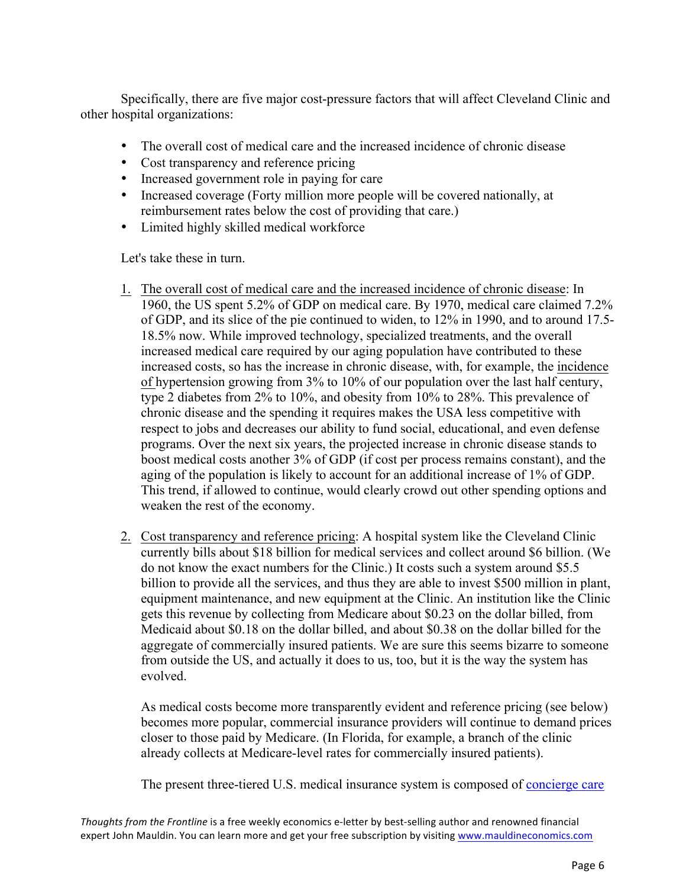Specifically, there are five major cost-pressure factors that will affect Cleveland Clinic and other hospital organizations:

- The overall cost of medical care and the increased incidence of chronic disease
- Cost transparency and reference pricing
- Increased government role in paying for care
- Increased coverage (Forty million more people will be covered nationally, at reimbursement rates below the cost of providing that care.)
- Limited highly skilled medical workforce

Let's take these in turn.

- 1. The overall cost of medical care and the increased incidence of chronic disease: In 1960, the US spent 5.2% of GDP on medical care. By 1970, medical care claimed 7.2% of GDP, and its slice of the pie continued to widen, to 12% in 1990, and to around 17.5- 18.5% now. While improved technology, specialized treatments, and the overall increased medical care required by our aging population have contributed to these increased costs, so has the increase in chronic disease, with, for example, the incidence of hypertension growing from 3% to 10% of our population over the last half century, type 2 diabetes from 2% to 10%, and obesity from 10% to 28%. This prevalence of chronic disease and the spending it requires makes the USA less competitive with respect to jobs and decreases our ability to fund social, educational, and even defense programs. Over the next six years, the projected increase in chronic disease stands to boost medical costs another 3% of GDP (if cost per process remains constant), and the aging of the population is likely to account for an additional increase of 1% of GDP. This trend, if allowed to continue, would clearly crowd out other spending options and weaken the rest of the economy.
- 2. Cost transparency and reference pricing: A hospital system like the Cleveland Clinic currently bills about \$18 billion for medical services and collect around \$6 billion. (We do not know the exact numbers for the Clinic.) It costs such a system around \$5.5 billion to provide all the services, and thus they are able to invest \$500 million in plant, equipment maintenance, and new equipment at the Clinic. An institution like the Clinic gets this revenue by collecting from Medicare about \$0.23 on the dollar billed, from Medicaid about \$0.18 on the dollar billed, and about \$0.38 on the dollar billed for the aggregate of commercially insured patients. We are sure this seems bizarre to someone from outside the US, and actually it does to us, too, but it is the way the system has evolved.

As medical costs become more transparently evident and reference pricing (see below) becomes more popular, commercial insurance providers will continue to demand prices closer to those paid by Medicare. (In Florida, for example, a branch of the clinic already collects at Medicare-level rates for commercially insured patients).

The present three-tiered U.S. medical insurance system is composed of [concierge care](http://en.wikipedia.org/wiki/Concierge_medicine)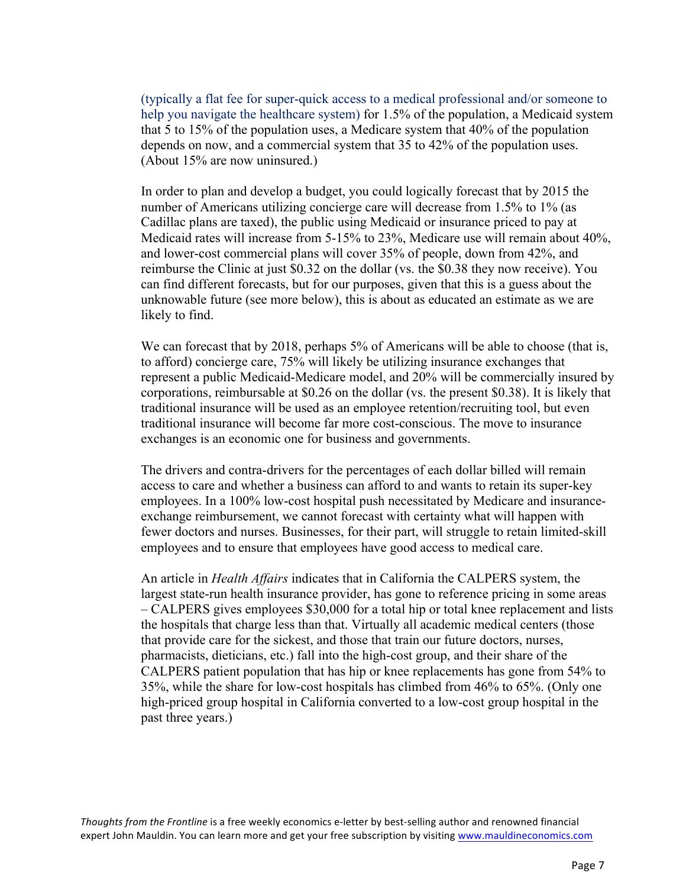(typically a flat fee for super-quick access to a medical professional and/or someone to help you navigate the healthcare system) for 1.5% of the population, a Medicaid system that 5 to 15% of the population uses, a Medicare system that 40% of the population depends on now, and a commercial system that 35 to 42% of the population uses. (About 15% are now uninsured.)

In order to plan and develop a budget, you could logically forecast that by 2015 the number of Americans utilizing concierge care will decrease from 1.5% to 1% (as Cadillac plans are taxed), the public using Medicaid or insurance priced to pay at Medicaid rates will increase from 5-15% to 23%, Medicare use will remain about 40%, and lower-cost commercial plans will cover 35% of people, down from 42%, and reimburse the Clinic at just \$0.32 on the dollar (vs. the \$0.38 they now receive). You can find different forecasts, but for our purposes, given that this is a guess about the unknowable future (see more below), this is about as educated an estimate as we are likely to find.

We can forecast that by 2018, perhaps 5% of Americans will be able to choose (that is, to afford) concierge care, 75% will likely be utilizing insurance exchanges that represent a public Medicaid-Medicare model, and 20% will be commercially insured by corporations, reimbursable at \$0.26 on the dollar (vs. the present \$0.38). It is likely that traditional insurance will be used as an employee retention/recruiting tool, but even traditional insurance will become far more cost-conscious. The move to insurance exchanges is an economic one for business and governments.

The drivers and contra-drivers for the percentages of each dollar billed will remain access to care and whether a business can afford to and wants to retain its super-key employees. In a 100% low-cost hospital push necessitated by Medicare and insuranceexchange reimbursement, we cannot forecast with certainty what will happen with fewer doctors and nurses. Businesses, for their part, will struggle to retain limited-skill employees and to ensure that employees have good access to medical care.

An article in *Health Affairs* indicates that in California the CALPERS system, the largest state-run health insurance provider, has gone to reference pricing in some areas – CALPERS gives employees \$30,000 for a total hip or total knee replacement and lists the hospitals that charge less than that. Virtually all academic medical centers (those that provide care for the sickest, and those that train our future doctors, nurses, pharmacists, dieticians, etc.) fall into the high-cost group, and their share of the CALPERS patient population that has hip or knee replacements has gone from 54% to 35%, while the share for low-cost hospitals has climbed from 46% to 65%. (Only one high-priced group hospital in California converted to a low-cost group hospital in the past three years.)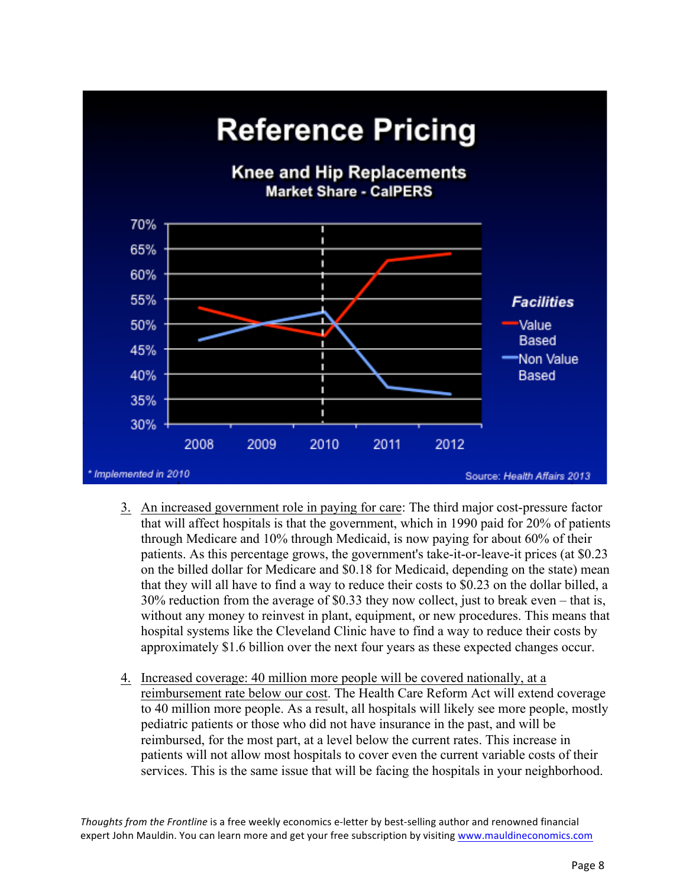

- 3. An increased government role in paying for care: The third major cost-pressure factor that will affect hospitals is that the government, which in 1990 paid for 20% of patients through Medicare and 10% through Medicaid, is now paying for about 60% of their patients. As this percentage grows, the government's take-it-or-leave-it prices (at \$0.23 on the billed dollar for Medicare and \$0.18 for Medicaid, depending on the state) mean that they will all have to find a way to reduce their costs to \$0.23 on the dollar billed, a 30% reduction from the average of \$0.33 they now collect, just to break even – that is, without any money to reinvest in plant, equipment, or new procedures. This means that hospital systems like the Cleveland Clinic have to find a way to reduce their costs by approximately \$1.6 billion over the next four years as these expected changes occur.
- 4. Increased coverage: 40 million more people will be covered nationally, at a reimbursement rate below our cost. The Health Care Reform Act will extend coverage to 40 million more people. As a result, all hospitals will likely see more people, mostly pediatric patients or those who did not have insurance in the past, and will be reimbursed, for the most part, at a level below the current rates. This increase in patients will not allow most hospitals to cover even the current variable costs of their services. This is the same issue that will be facing the hospitals in your neighborhood.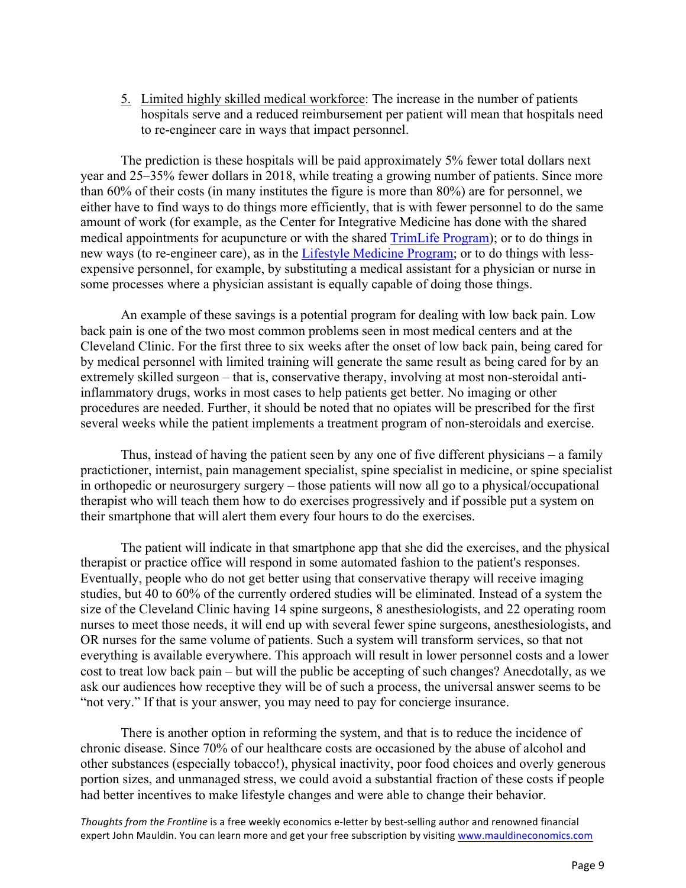5. Limited highly skilled medical workforce: The increase in the number of patients hospitals serve and a reduced reimbursement per patient will mean that hospitals need to re-engineer care in ways that impact personnel.

The prediction is these hospitals will be paid approximately 5% fewer total dollars next year and 25–35% fewer dollars in 2018, while treating a growing number of patients. Since more than 60% of their costs (in many institutes the figure is more than 80%) are for personnel, we either have to find ways to do things more efficiently, that is with fewer personnel to do the same amount of work (for example, as the Center for Integrative Medicine has done with the shared medical appointments for acupuncture or with the shared [TrimLife Program\)](http://my.clevelandclinic.org/Documents/Wellness/Trim-Life-Fact-Sheet.pdf); or to do things in new ways (to re-engineer care), as in the [Lifestyle Medicine Program;](http://my.clevelandclinic.org/wellness/about-lifestyle-medicine.aspx) or to do things with lessexpensive personnel, for example, by substituting a medical assistant for a physician or nurse in some processes where a physician assistant is equally capable of doing those things.

An example of these savings is a potential program for dealing with low back pain. Low back pain is one of the two most common problems seen in most medical centers and at the Cleveland Clinic. For the first three to six weeks after the onset of low back pain, being cared for by medical personnel with limited training will generate the same result as being cared for by an extremely skilled surgeon – that is, conservative therapy, involving at most non-steroidal antiinflammatory drugs, works in most cases to help patients get better. No imaging or other procedures are needed. Further, it should be noted that no opiates will be prescribed for the first several weeks while the patient implements a treatment program of non-steroidals and exercise.

Thus, instead of having the patient seen by any one of five different physicians – a family practictioner, internist, pain management specialist, spine specialist in medicine, or spine specialist in orthopedic or neurosurgery surgery – those patients will now all go to a physical/occupational therapist who will teach them how to do exercises progressively and if possible put a system on their smartphone that will alert them every four hours to do the exercises.

The patient will indicate in that smartphone app that she did the exercises, and the physical therapist or practice office will respond in some automated fashion to the patient's responses. Eventually, people who do not get better using that conservative therapy will receive imaging studies, but 40 to 60% of the currently ordered studies will be eliminated. Instead of a system the size of the Cleveland Clinic having 14 spine surgeons, 8 anesthesiologists, and 22 operating room nurses to meet those needs, it will end up with several fewer spine surgeons, anesthesiologists, and OR nurses for the same volume of patients. Such a system will transform services, so that not everything is available everywhere. This approach will result in lower personnel costs and a lower cost to treat low back pain – but will the public be accepting of such changes? Anecdotally, as we ask our audiences how receptive they will be of such a process, the universal answer seems to be "not very." If that is your answer, you may need to pay for concierge insurance.

There is another option in reforming the system, and that is to reduce the incidence of chronic disease. Since 70% of our healthcare costs are occasioned by the abuse of alcohol and other substances (especially tobacco!), physical inactivity, poor food choices and overly generous portion sizes, and unmanaged stress, we could avoid a substantial fraction of these costs if people had better incentives to make lifestyle changes and were able to change their behavior.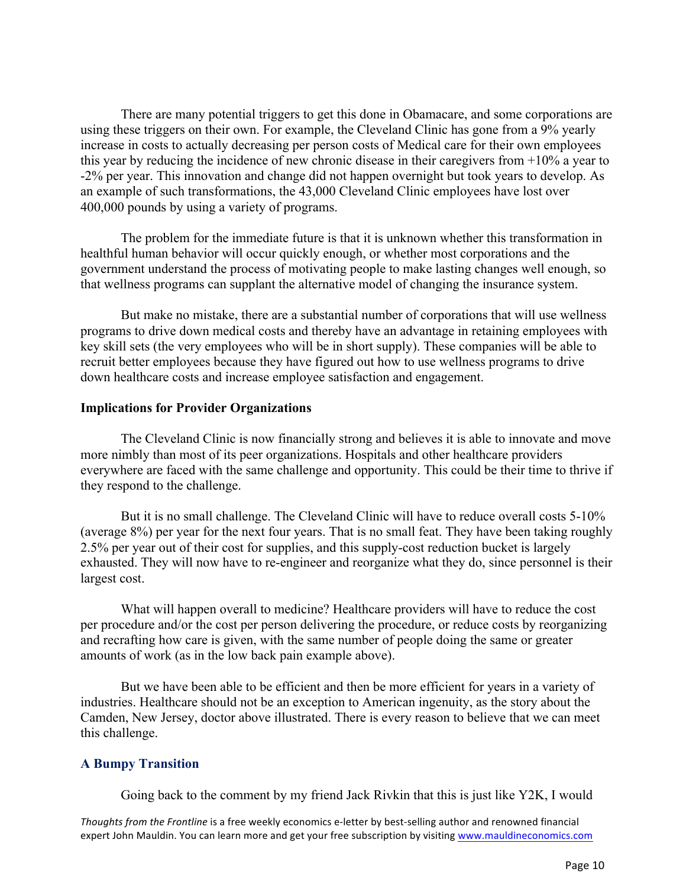There are many potential triggers to get this done in Obamacare, and some corporations are using these triggers on their own. For example, the Cleveland Clinic has gone from a 9% yearly increase in costs to actually decreasing per person costs of Medical care for their own employees this year by reducing the incidence of new chronic disease in their caregivers from +10% a year to -2% per year. This innovation and change did not happen overnight but took years to develop. As an example of such transformations, the 43,000 Cleveland Clinic employees have lost over 400,000 pounds by using a variety of programs.

The problem for the immediate future is that it is unknown whether this transformation in healthful human behavior will occur quickly enough, or whether most corporations and the government understand the process of motivating people to make lasting changes well enough, so that wellness programs can supplant the alternative model of changing the insurance system.

But make no mistake, there are a substantial number of corporations that will use wellness programs to drive down medical costs and thereby have an advantage in retaining employees with key skill sets (the very employees who will be in short supply). These companies will be able to recruit better employees because they have figured out how to use wellness programs to drive down healthcare costs and increase employee satisfaction and engagement.

#### **Implications for Provider Organizations**

The Cleveland Clinic is now financially strong and believes it is able to innovate and move more nimbly than most of its peer organizations. Hospitals and other healthcare providers everywhere are faced with the same challenge and opportunity. This could be their time to thrive if they respond to the challenge.

But it is no small challenge. The Cleveland Clinic will have to reduce overall costs 5-10% (average 8%) per year for the next four years. That is no small feat. They have been taking roughly 2.5% per year out of their cost for supplies, and this supply-cost reduction bucket is largely exhausted. They will now have to re-engineer and reorganize what they do, since personnel is their largest cost.

What will happen overall to medicine? Healthcare providers will have to reduce the cost per procedure and/or the cost per person delivering the procedure, or reduce costs by reorganizing and recrafting how care is given, with the same number of people doing the same or greater amounts of work (as in the low back pain example above).

But we have been able to be efficient and then be more efficient for years in a variety of industries. Healthcare should not be an exception to American ingenuity, as the story about the Camden, New Jersey, doctor above illustrated. There is every reason to believe that we can meet this challenge.

### **A Bumpy Transition**

Going back to the comment by my friend Jack Rivkin that this is just like Y2K, I would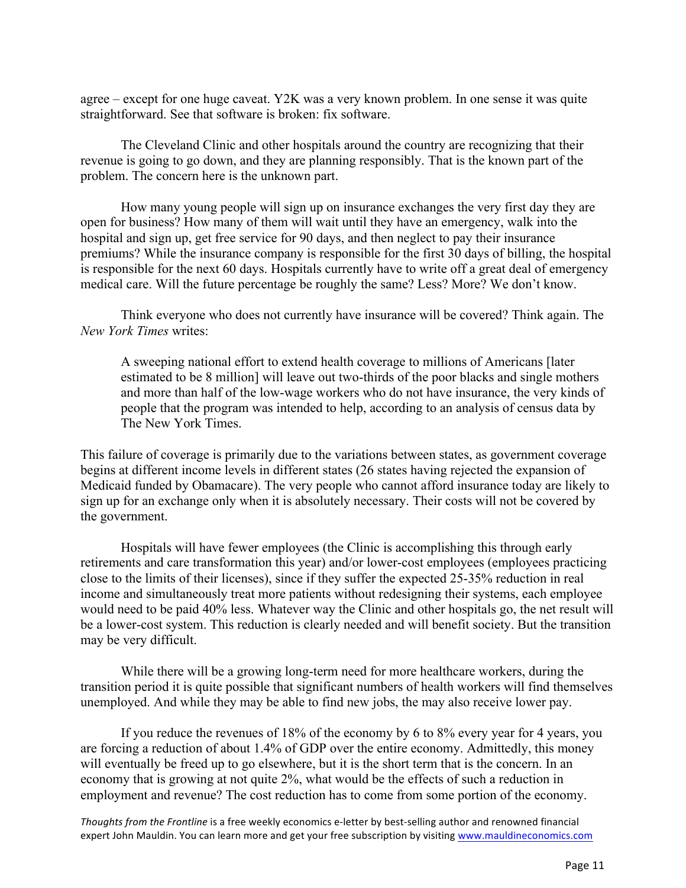agree – except for one huge caveat. Y2K was a very known problem. In one sense it was quite straightforward. See that software is broken: fix software.

The Cleveland Clinic and other hospitals around the country are recognizing that their revenue is going to go down, and they are planning responsibly. That is the known part of the problem. The concern here is the unknown part.

How many young people will sign up on insurance exchanges the very first day they are open for business? How many of them will wait until they have an emergency, walk into the hospital and sign up, get free service for 90 days, and then neglect to pay their insurance premiums? While the insurance company is responsible for the first 30 days of billing, the hospital is responsible for the next 60 days. Hospitals currently have to write off a great deal of emergency medical care. Will the future percentage be roughly the same? Less? More? We don't know.

Think everyone who does not currently have insurance will be covered? Think again. The *New York Times* writes:

A sweeping national effort to extend health coverage to millions of Americans [later estimated to be 8 million] will leave out two-thirds of the poor blacks and single mothers and more than half of the low-wage workers who do not have insurance, the very kinds of people that the program was intended to help, according to an analysis of census data by The New York Times.

This failure of coverage is primarily due to the variations between states, as government coverage begins at different income levels in different states (26 states having rejected the expansion of Medicaid funded by Obamacare). The very people who cannot afford insurance today are likely to sign up for an exchange only when it is absolutely necessary. Their costs will not be covered by the government.

Hospitals will have fewer employees (the Clinic is accomplishing this through early retirements and care transformation this year) and/or lower-cost employees (employees practicing close to the limits of their licenses), since if they suffer the expected 25-35% reduction in real income and simultaneously treat more patients without redesigning their systems, each employee would need to be paid 40% less. Whatever way the Clinic and other hospitals go, the net result will be a lower-cost system. This reduction is clearly needed and will benefit society. But the transition may be very difficult.

While there will be a growing long-term need for more healthcare workers, during the transition period it is quite possible that significant numbers of health workers will find themselves unemployed. And while they may be able to find new jobs, the may also receive lower pay.

If you reduce the revenues of 18% of the economy by 6 to 8% every year for 4 years, you are forcing a reduction of about 1.4% of GDP over the entire economy. Admittedly, this money will eventually be freed up to go elsewhere, but it is the short term that is the concern. In an economy that is growing at not quite 2%, what would be the effects of such a reduction in employment and revenue? The cost reduction has to come from some portion of the economy.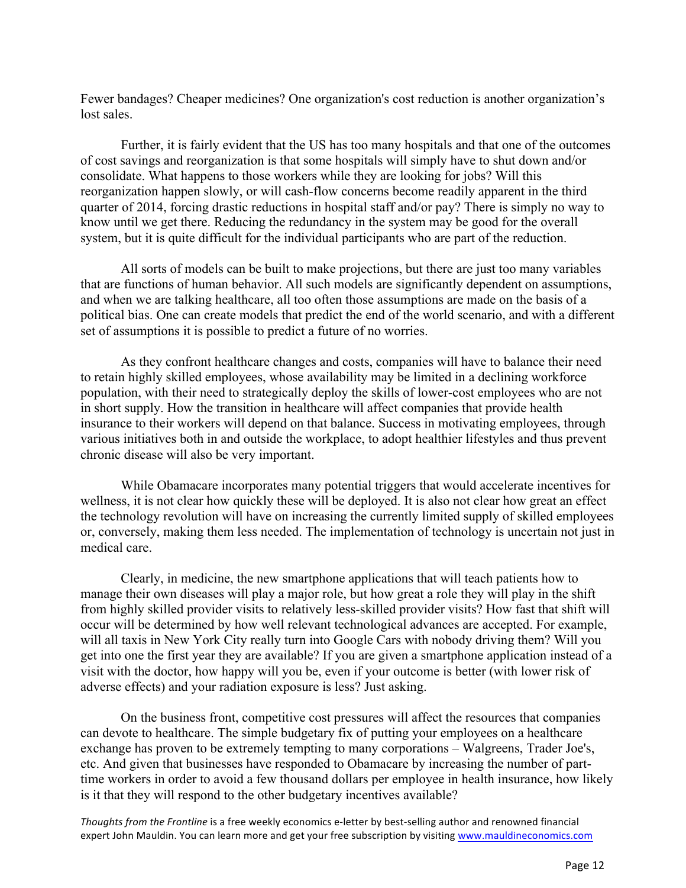Fewer bandages? Cheaper medicines? One organization's cost reduction is another organization's lost sales.

Further, it is fairly evident that the US has too many hospitals and that one of the outcomes of cost savings and reorganization is that some hospitals will simply have to shut down and/or consolidate. What happens to those workers while they are looking for jobs? Will this reorganization happen slowly, or will cash-flow concerns become readily apparent in the third quarter of 2014, forcing drastic reductions in hospital staff and/or pay? There is simply no way to know until we get there. Reducing the redundancy in the system may be good for the overall system, but it is quite difficult for the individual participants who are part of the reduction.

All sorts of models can be built to make projections, but there are just too many variables that are functions of human behavior. All such models are significantly dependent on assumptions, and when we are talking healthcare, all too often those assumptions are made on the basis of a political bias. One can create models that predict the end of the world scenario, and with a different set of assumptions it is possible to predict a future of no worries.

As they confront healthcare changes and costs, companies will have to balance their need to retain highly skilled employees, whose availability may be limited in a declining workforce population, with their need to strategically deploy the skills of lower-cost employees who are not in short supply. How the transition in healthcare will affect companies that provide health insurance to their workers will depend on that balance. Success in motivating employees, through various initiatives both in and outside the workplace, to adopt healthier lifestyles and thus prevent chronic disease will also be very important.

While Obamacare incorporates many potential triggers that would accelerate incentives for wellness, it is not clear how quickly these will be deployed. It is also not clear how great an effect the technology revolution will have on increasing the currently limited supply of skilled employees or, conversely, making them less needed. The implementation of technology is uncertain not just in medical care.

Clearly, in medicine, the new smartphone applications that will teach patients how to manage their own diseases will play a major role, but how great a role they will play in the shift from highly skilled provider visits to relatively less-skilled provider visits? How fast that shift will occur will be determined by how well relevant technological advances are accepted. For example, will all taxis in New York City really turn into Google Cars with nobody driving them? Will you get into one the first year they are available? If you are given a smartphone application instead of a visit with the doctor, how happy will you be, even if your outcome is better (with lower risk of adverse effects) and your radiation exposure is less? Just asking.

On the business front, competitive cost pressures will affect the resources that companies can devote to healthcare. The simple budgetary fix of putting your employees on a healthcare exchange has proven to be extremely tempting to many corporations – Walgreens, Trader Joe's, etc. And given that businesses have responded to Obamacare by increasing the number of parttime workers in order to avoid a few thousand dollars per employee in health insurance, how likely is it that they will respond to the other budgetary incentives available?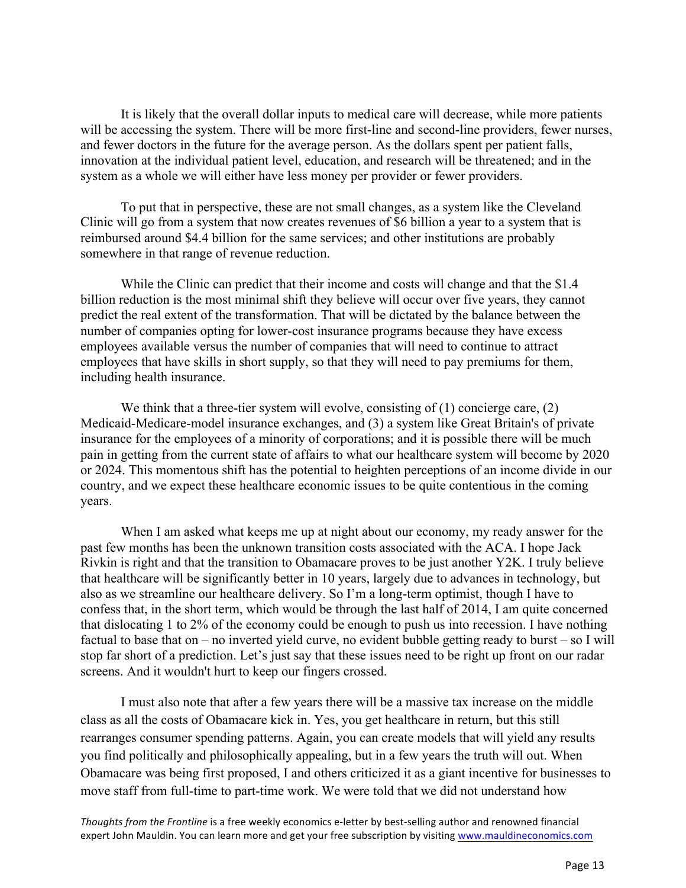It is likely that the overall dollar inputs to medical care will decrease, while more patients will be accessing the system. There will be more first-line and second-line providers, fewer nurses, and fewer doctors in the future for the average person. As the dollars spent per patient falls, innovation at the individual patient level, education, and research will be threatened; and in the system as a whole we will either have less money per provider or fewer providers.

To put that in perspective, these are not small changes, as a system like the Cleveland Clinic will go from a system that now creates revenues of \$6 billion a year to a system that is reimbursed around \$4.4 billion for the same services; and other institutions are probably somewhere in that range of revenue reduction.

While the Clinic can predict that their income and costs will change and that the \$1.4 billion reduction is the most minimal shift they believe will occur over five years, they cannot predict the real extent of the transformation. That will be dictated by the balance between the number of companies opting for lower-cost insurance programs because they have excess employees available versus the number of companies that will need to continue to attract employees that have skills in short supply, so that they will need to pay premiums for them, including health insurance.

We think that a three-tier system will evolve, consisting of  $(1)$  concierge care,  $(2)$ Medicaid-Medicare-model insurance exchanges, and (3) a system like Great Britain's of private insurance for the employees of a minority of corporations; and it is possible there will be much pain in getting from the current state of affairs to what our healthcare system will become by 2020 or 2024. This momentous shift has the potential to heighten perceptions of an income divide in our country, and we expect these healthcare economic issues to be quite contentious in the coming years.

When I am asked what keeps me up at night about our economy, my ready answer for the past few months has been the unknown transition costs associated with the ACA. I hope Jack Rivkin is right and that the transition to Obamacare proves to be just another Y2K. I truly believe that healthcare will be significantly better in 10 years, largely due to advances in technology, but also as we streamline our healthcare delivery. So I'm a long-term optimist, though I have to confess that, in the short term, which would be through the last half of 2014, I am quite concerned that dislocating 1 to 2% of the economy could be enough to push us into recession. I have nothing factual to base that on – no inverted yield curve, no evident bubble getting ready to burst – so I will stop far short of a prediction. Let's just say that these issues need to be right up front on our radar screens. And it wouldn't hurt to keep our fingers crossed.

I must also note that after a few years there will be a massive tax increase on the middle class as all the costs of Obamacare kick in. Yes, you get healthcare in return, but this still rearranges consumer spending patterns. Again, you can create models that will yield any results you find politically and philosophically appealing, but in a few years the truth will out. When Obamacare was being first proposed, I and others criticized it as a giant incentive for businesses to move staff from full-time to part-time work. We were told that we did not understand how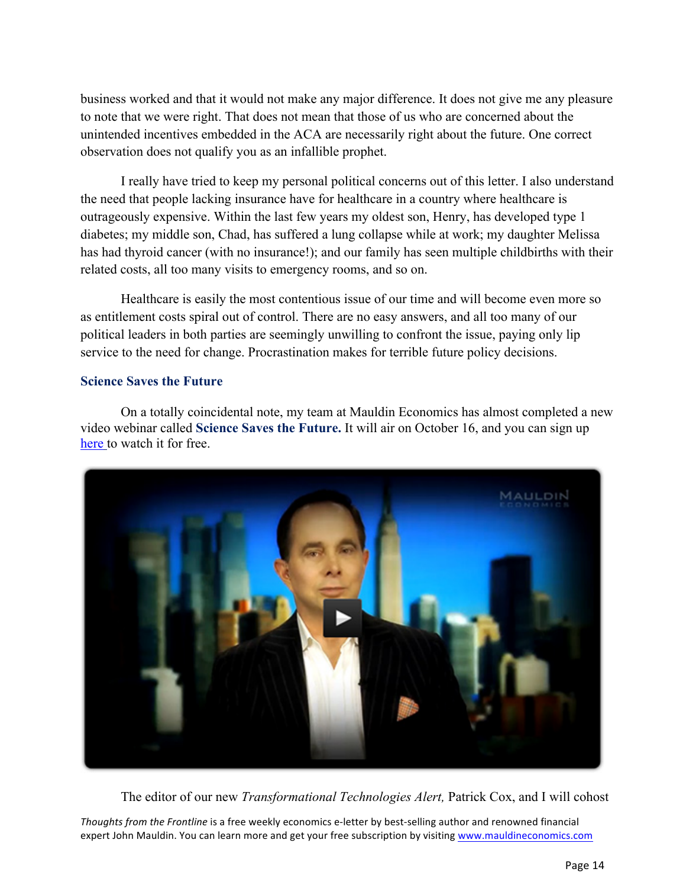business worked and that it would not make any major difference. It does not give me any pleasure to note that we were right. That does not mean that those of us who are concerned about the unintended incentives embedded in the ACA are necessarily right about the future. One correct observation does not qualify you as an infallible prophet.

I really have tried to keep my personal political concerns out of this letter. I also understand the need that people lacking insurance have for healthcare in a country where healthcare is outrageously expensive. Within the last few years my oldest son, Henry, has developed type 1 diabetes; my middle son, Chad, has suffered a lung collapse while at work; my daughter Melissa has had thyroid cancer (with no insurance!); and our family has seen multiple childbirths with their related costs, all too many visits to emergency rooms, and so on.

Healthcare is easily the most contentious issue of our time and will become even more so as entitlement costs spiral out of control. There are no easy answers, and all too many of our political leaders in both parties are seemingly unwilling to confront the issue, paying only lip service to the need for change. Procrastination makes for terrible future policy decisions.

# **Science Saves the Future**

On a totally coincidental note, my team at Mauldin Economics has almost completed a new video webinar called **Science Saves the Future.** It will air on October 16, and you can sign up [here](http://tech.mauldineconomics.com/go/vnfas-2/MEC) to watch it for free.



The editor of our new *Transformational Technologies Alert,* Patrick Cox, and I will cohost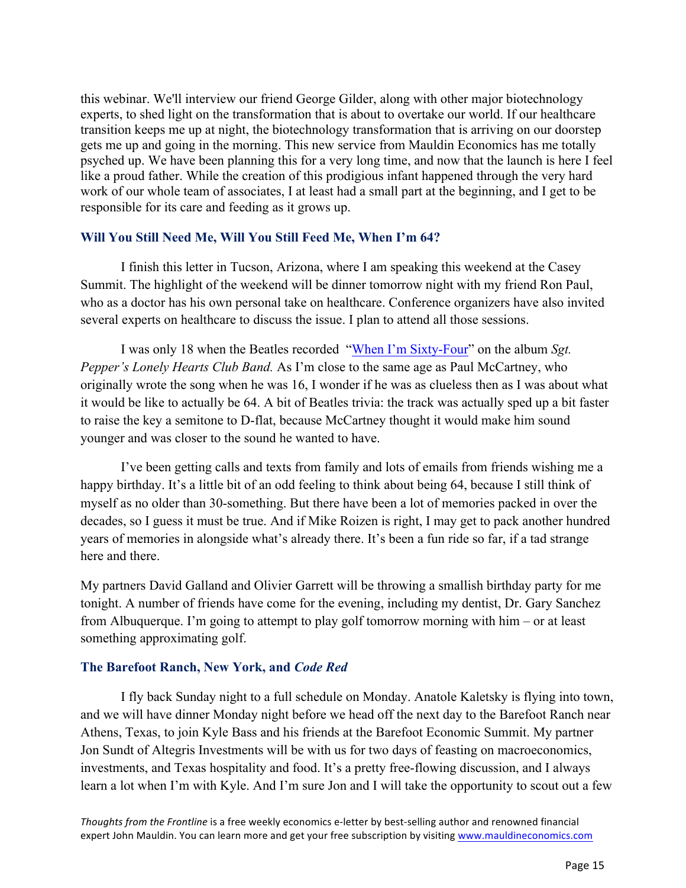this webinar. We'll interview our friend George Gilder, along with other major biotechnology experts, to shed light on the transformation that is about to overtake our world. If our healthcare transition keeps me up at night, the biotechnology transformation that is arriving on our doorstep gets me up and going in the morning. This new service from Mauldin Economics has me totally psyched up. We have been planning this for a very long time, and now that the launch is here I feel like a proud father. While the creation of this prodigious infant happened through the very hard work of our whole team of associates, I at least had a small part at the beginning, and I get to be responsible for its care and feeding as it grows up.

# **Will You Still Need Me, Will You Still Feed Me, When I'm 64?**

I finish this letter in Tucson, Arizona, where I am speaking this weekend at the Casey Summit. The highlight of the weekend will be dinner tomorrow night with my friend Ron Paul, who as a doctor has his own personal take on healthcare. Conference organizers have also invited several experts on healthcare to discuss the issue. I plan to attend all those sessions.

I was only 18 when the Beatles recorded ["When I'm Sixty-Four"](http://www.youtube.com/watch?v=eCss0kZXeyE) on the album *Sgt. Pepper's Lonely Hearts Club Band.* As I'm close to the same age as Paul McCartney, who originally wrote the song when he was 16, I wonder if he was as clueless then as I was about what it would be like to actually be 64. A bit of Beatles trivia: the track was actually sped up a bit faster to raise the key a semitone to D-flat, because McCartney thought it would make him sound younger and was closer to the sound he wanted to have.

I've been getting calls and texts from family and lots of emails from friends wishing me a happy birthday. It's a little bit of an odd feeling to think about being 64, because I still think of myself as no older than 30-something. But there have been a lot of memories packed in over the decades, so I guess it must be true. And if Mike Roizen is right, I may get to pack another hundred years of memories in alongside what's already there. It's been a fun ride so far, if a tad strange here and there.

My partners David Galland and Olivier Garrett will be throwing a smallish birthday party for me tonight. A number of friends have come for the evening, including my dentist, Dr. Gary Sanchez from Albuquerque. I'm going to attempt to play golf tomorrow morning with him – or at least something approximating golf.

### **The Barefoot Ranch, New York, and** *Code Red*

I fly back Sunday night to a full schedule on Monday. Anatole Kaletsky is flying into town, and we will have dinner Monday night before we head off the next day to the Barefoot Ranch near Athens, Texas, to join Kyle Bass and his friends at the Barefoot Economic Summit. My partner Jon Sundt of Altegris Investments will be with us for two days of feasting on macroeconomics, investments, and Texas hospitality and food. It's a pretty free-flowing discussion, and I always learn a lot when I'm with Kyle. And I'm sure Jon and I will take the opportunity to scout out a few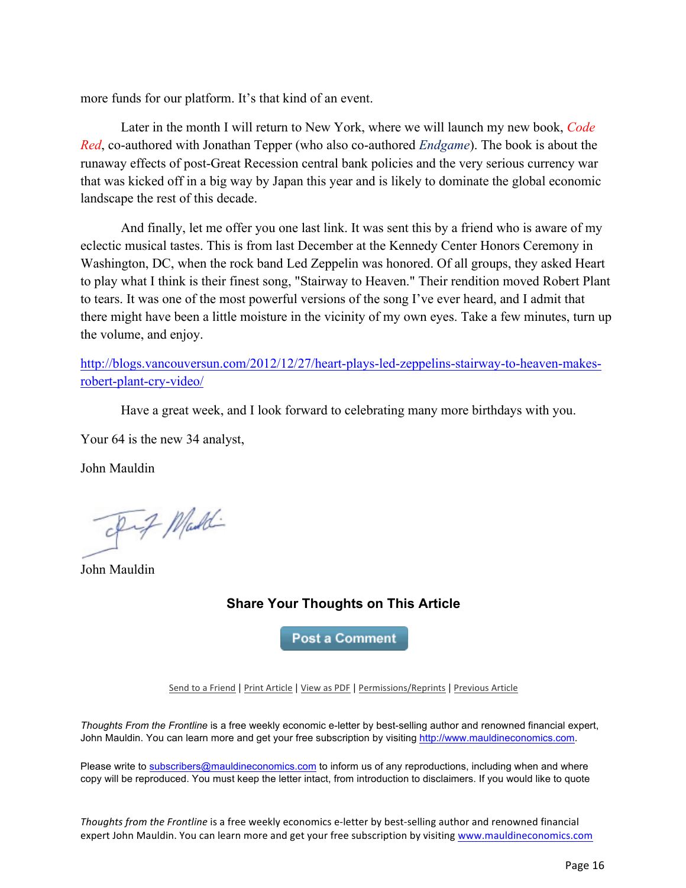more funds for our platform. It's that kind of an event.

Later in the month I will return to New York, where we will launch my new book, *Code Red*, co-authored with Jonathan Tepper (who also co-authored *Endgame*). The book is about the runaway effects of post-Great Recession central bank policies and the very serious currency war that was kicked off in a big way by Japan this year and is likely to dominate the global economic landscape the rest of this decade.

And finally, let me offer you one last link. It was sent this by a friend who is aware of my eclectic musical tastes. This is from last December at the Kennedy Center Honors Ceremony in Washington, DC, when the rock band Led Zeppelin was honored. Of all groups, they asked Heart to play what I think is their finest song, "Stairway to Heaven." Their rendition moved Robert Plant to tears. It was one of the most powerful versions of the song I've ever heard, and I admit that there might have been a little moisture in the vicinity of my own eyes. Take a few minutes, turn up the volume, and enjoy.

[http://blogs.vancouversun.com/2012/12/27/heart-plays-led-zeppelins-stairway-to-heaven-makes](http://blogs.vancouversun.com/2012/12/27/heart-plays-led-zeppelins-stairway-to-heaven-makes-robert-plant-cry-video/)robert-plant-cry-video/

Have a great week, and I look forward to celebrating many more birthdays with you.

Your 64 is the new 34 analyst,

John Mauldin

Fif Maddi

John Mauldin

# **Share Your Thoughts on This Article**

**Post a Comment** 

Send to a Friend | Print Article | View as PDF | Permissions/Reprints | Previous Article

*Thoughts From the Frontline* is a free weekly economic e-letter by best-selling author and renowned financial expert, John Mauldin. You can learn more and get your free subscription by visiting http://www.mauldineconomics.com.

Please write to subscribers@mauldineconomics.com to inform us of any reproductions, including when and where copy will be reproduced. You must keep the letter intact, from introduction to disclaimers. If you would like to quote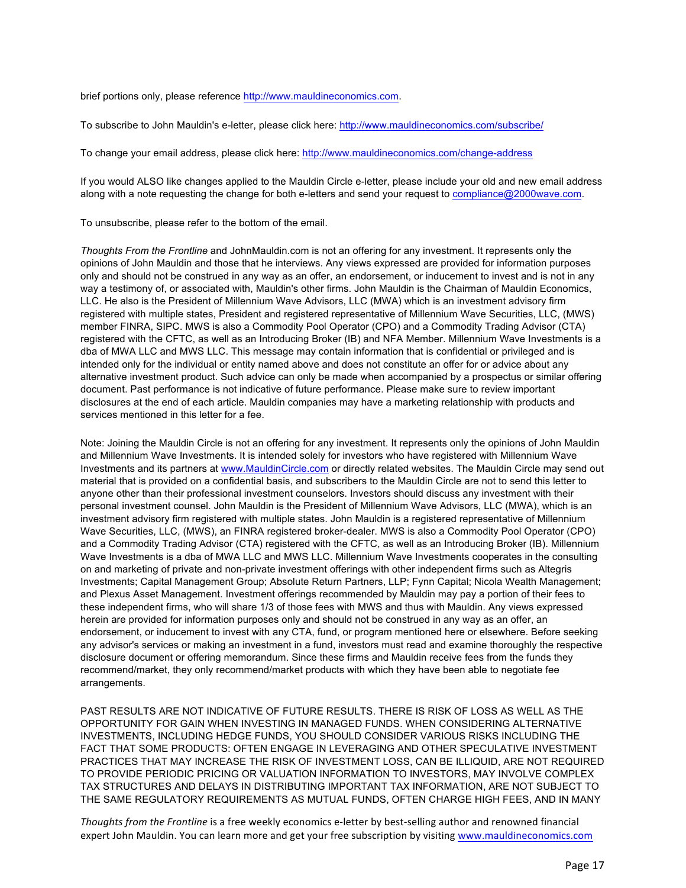brief portions only, please reference http://www.mauldineconomics.com.

To subscribe to John Mauldin's e-letter, please click here: http://www.mauldineconomics.com/subscribe/

To change your email address, please click here: http://www.mauldineconomics.com/change-address

If you would ALSO like changes applied to the Mauldin Circle e-letter, please include your old and new email address along with a note requesting the change for both e-letters and send your request to compliance@2000wave.com.

To unsubscribe, please refer to the bottom of the email.

*Thoughts From the Frontline* and JohnMauldin.com is not an offering for any investment. It represents only the opinions of John Mauldin and those that he interviews. Any views expressed are provided for information purposes only and should not be construed in any way as an offer, an endorsement, or inducement to invest and is not in any way a testimony of, or associated with, Mauldin's other firms. John Mauldin is the Chairman of Mauldin Economics, LLC. He also is the President of Millennium Wave Advisors, LLC (MWA) which is an investment advisory firm registered with multiple states, President and registered representative of Millennium Wave Securities, LLC, (MWS) member FINRA, SIPC. MWS is also a Commodity Pool Operator (CPO) and a Commodity Trading Advisor (CTA) registered with the CFTC, as well as an Introducing Broker (IB) and NFA Member. Millennium Wave Investments is a dba of MWA LLC and MWS LLC. This message may contain information that is confidential or privileged and is intended only for the individual or entity named above and does not constitute an offer for or advice about any alternative investment product. Such advice can only be made when accompanied by a prospectus or similar offering document. Past performance is not indicative of future performance. Please make sure to review important disclosures at the end of each article. Mauldin companies may have a marketing relationship with products and services mentioned in this letter for a fee.

Note: Joining the Mauldin Circle is not an offering for any investment. It represents only the opinions of John Mauldin and Millennium Wave Investments. It is intended solely for investors who have registered with Millennium Wave Investments and its partners at www.MauldinCircle.com or directly related websites. The Mauldin Circle may send out material that is provided on a confidential basis, and subscribers to the Mauldin Circle are not to send this letter to anyone other than their professional investment counselors. Investors should discuss any investment with their personal investment counsel. John Mauldin is the President of Millennium Wave Advisors, LLC (MWA), which is an investment advisory firm registered with multiple states. John Mauldin is a registered representative of Millennium Wave Securities, LLC, (MWS), an FINRA registered broker-dealer. MWS is also a Commodity Pool Operator (CPO) and a Commodity Trading Advisor (CTA) registered with the CFTC, as well as an Introducing Broker (IB). Millennium Wave Investments is a dba of MWA LLC and MWS LLC. Millennium Wave Investments cooperates in the consulting on and marketing of private and non-private investment offerings with other independent firms such as Altegris Investments; Capital Management Group; Absolute Return Partners, LLP; Fynn Capital; Nicola Wealth Management; and Plexus Asset Management. Investment offerings recommended by Mauldin may pay a portion of their fees to these independent firms, who will share 1/3 of those fees with MWS and thus with Mauldin. Any views expressed herein are provided for information purposes only and should not be construed in any way as an offer, an endorsement, or inducement to invest with any CTA, fund, or program mentioned here or elsewhere. Before seeking any advisor's services or making an investment in a fund, investors must read and examine thoroughly the respective disclosure document or offering memorandum. Since these firms and Mauldin receive fees from the funds they recommend/market, they only recommend/market products with which they have been able to negotiate fee arrangements.

PAST RESULTS ARE NOT INDICATIVE OF FUTURE RESULTS. THERE IS RISK OF LOSS AS WELL AS THE OPPORTUNITY FOR GAIN WHEN INVESTING IN MANAGED FUNDS. WHEN CONSIDERING ALTERNATIVE INVESTMENTS, INCLUDING HEDGE FUNDS, YOU SHOULD CONSIDER VARIOUS RISKS INCLUDING THE FACT THAT SOME PRODUCTS: OFTEN ENGAGE IN LEVERAGING AND OTHER SPECULATIVE INVESTMENT PRACTICES THAT MAY INCREASE THE RISK OF INVESTMENT LOSS, CAN BE ILLIQUID, ARE NOT REQUIRED TO PROVIDE PERIODIC PRICING OR VALUATION INFORMATION TO INVESTORS, MAY INVOLVE COMPLEX TAX STRUCTURES AND DELAYS IN DISTRIBUTING IMPORTANT TAX INFORMATION, ARE NOT SUBJECT TO THE SAME REGULATORY REQUIREMENTS AS MUTUAL FUNDS, OFTEN CHARGE HIGH FEES, AND IN MANY